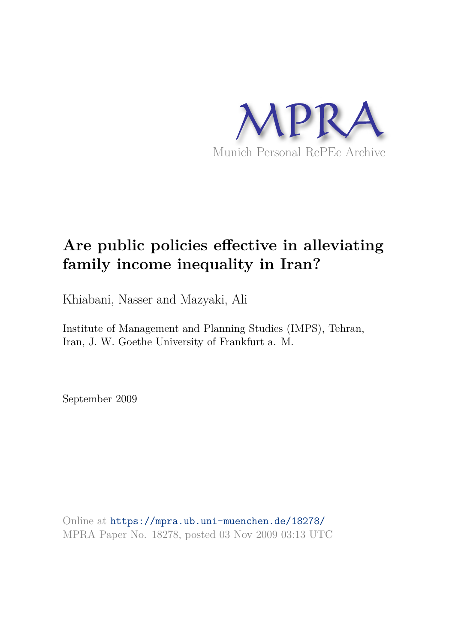

# **Are public policies effective in alleviating family income inequality in Iran?**

Khiabani, Nasser and Mazyaki, Ali

Institute of Management and Planning Studies (IMPS), Tehran, Iran, J. W. Goethe University of Frankfurt a. M.

September 2009

Online at https://mpra.ub.uni-muenchen.de/18278/ MPRA Paper No. 18278, posted 03 Nov 2009 03:13 UTC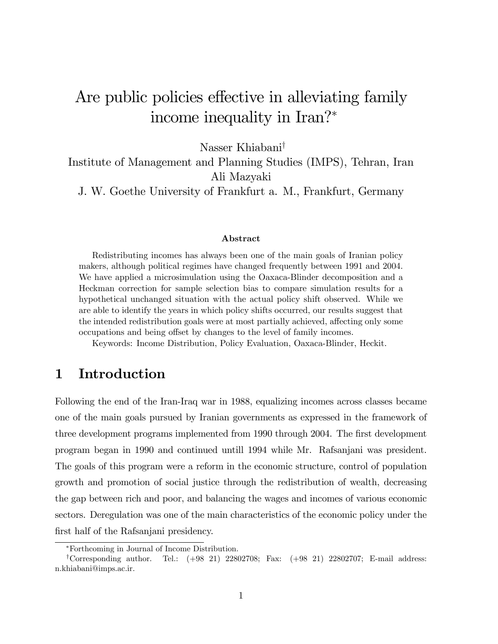# Are public policies effective in alleviating family income inequality in Iran?

Nasser Khiabani<sup>†</sup>

Institute of Management and Planning Studies (IMPS), Tehran, Iran Ali Mazyaki

J. W. Goethe University of Frankfurt a. M., Frankfurt, Germany

#### Abstract

Redistributing incomes has always been one of the main goals of Iranian policy makers, although political regimes have changed frequently between 1991 and 2004. We have applied a microsimulation using the Oaxaca-Blinder decomposition and a Heckman correction for sample selection bias to compare simulation results for a hypothetical unchanged situation with the actual policy shift observed. While we are able to identify the years in which policy shifts occurred, our results suggest that the intended redistribution goals were at most partially achieved, affecting only some occupations and being offset by changes to the level of family incomes.

Keywords: Income Distribution, Policy Evaluation, Oaxaca-Blinder, Heckit.

## 1 Introduction

Following the end of the Iran-Iraq war in 1988, equalizing incomes across classes became one of the main goals pursued by Iranian governments as expressed in the framework of three development programs implemented from 1990 through 2004. The first development program began in 1990 and continued untill 1994 while Mr. Rafsanjani was president. The goals of this program were a reform in the economic structure, control of population growth and promotion of social justice through the redistribution of wealth, decreasing the gap between rich and poor, and balancing the wages and incomes of various economic sectors. Deregulation was one of the main characteristics of the economic policy under the first half of the Rafsanjani presidency.

Forthcoming in Journal of Income Distribution.

<sup>&</sup>lt;sup>†</sup>Corresponding author. Tel.:  $(+98 \t21) \t22802708$ ; Fax:  $(+98 \t21) \t22802707$ ; E-mail address: n.khiabani@imps.ac.ir.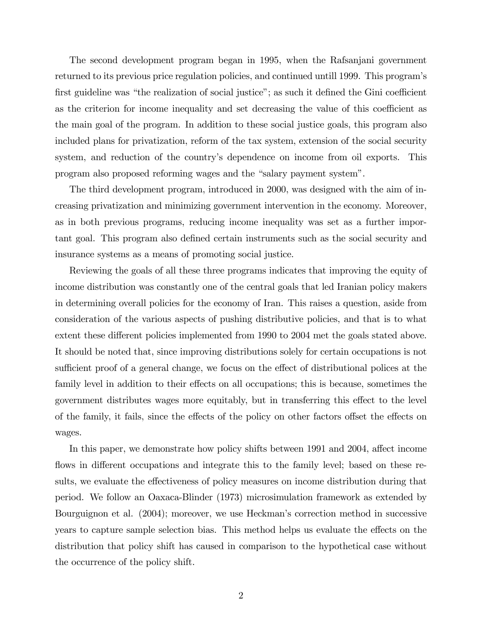The second development program began in 1995, when the Rafsanjani government returned to its previous price regulation policies, and continued untill 1999. This program's first guideline was "the realization of social justice"; as such it defined the Gini coefficient as the criterion for income inequality and set decreasing the value of this coefficient as the main goal of the program. In addition to these social justice goals, this program also included plans for privatization, reform of the tax system, extension of the social security system, and reduction of the country's dependence on income from oil exports. This program also proposed reforming wages and the "salary payment system".

The third development program, introduced in 2000, was designed with the aim of increasing privatization and minimizing government intervention in the economy. Moreover, as in both previous programs, reducing income inequality was set as a further important goal. This program also defined certain instruments such as the social security and insurance systems as a means of promoting social justice.

Reviewing the goals of all these three programs indicates that improving the equity of income distribution was constantly one of the central goals that led Iranian policy makers in determining overall policies for the economy of Iran. This raises a question, aside from consideration of the various aspects of pushing distributive policies, and that is to what extent these different policies implemented from 1990 to 2004 met the goals stated above. It should be noted that, since improving distributions solely for certain occupations is not sufficient proof of a general change, we focus on the effect of distributional polices at the family level in addition to their effects on all occupations; this is because, sometimes the government distributes wages more equitably, but in transferring this effect to the level of the family, it fails, since the effects of the policy on other factors offset the effects on wages.

In this paper, we demonstrate how policy shifts between 1991 and 2004, affect income flows in different occupations and integrate this to the family level; based on these results, we evaluate the effectiveness of policy measures on income distribution during that period. We follow an Oaxaca-Blinder (1973) microsimulation framework as extended by Bourguignon et al. (2004); moreover, we use Heckman's correction method in successive years to capture sample selection bias. This method helps us evaluate the effects on the distribution that policy shift has caused in comparison to the hypothetical case without the occurrence of the policy shift.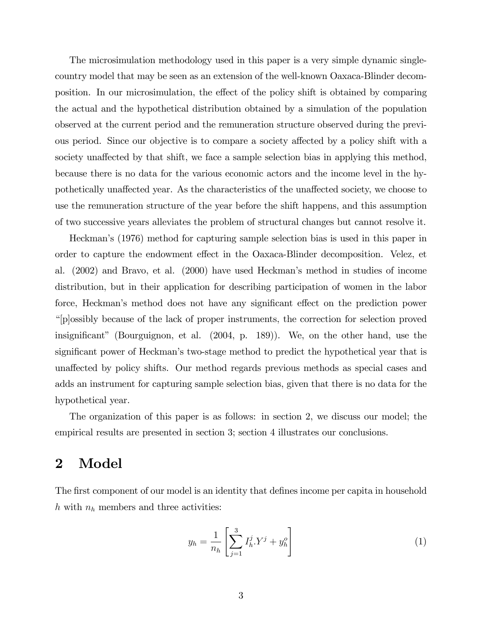The microsimulation methodology used in this paper is a very simple dynamic singlecountry model that may be seen as an extension of the well-known Oaxaca-Blinder decomposition. In our microsimulation, the effect of the policy shift is obtained by comparing the actual and the hypothetical distribution obtained by a simulation of the population observed at the current period and the remuneration structure observed during the previous period. Since our objective is to compare a society affected by a policy shift with a society unaffected by that shift, we face a sample selection bias in applying this method, because there is no data for the various economic actors and the income level in the hypothetically unaffected year. As the characteristics of the unaffected society, we choose to use the remuneration structure of the year before the shift happens, and this assumption of two successive years alleviates the problem of structural changes but cannot resolve it.

Heckmanís (1976) method for capturing sample selection bias is used in this paper in order to capture the endowment effect in the Oaxaca-Blinder decomposition. Velez, et al. (2002) and Bravo, et al. (2000) have used Heckmanís method in studies of income distribution, but in their application for describing participation of women in the labor force, Heckman's method does not have any significant effect on the prediction power ì[p]ossibly because of the lack of proper instruments, the correction for selection proved insignificant" (Bourguignon, et al.  $(2004, p. 189)$ ). We, on the other hand, use the significant power of Heckman's two-stage method to predict the hypothetical year that is una§ected by policy shifts. Our method regards previous methods as special cases and adds an instrument for capturing sample selection bias, given that there is no data for the hypothetical year.

The organization of this paper is as follows: in section 2, we discuss our model; the empirical results are presented in section 3; section 4 illustrates our conclusions.

### 2 Model

The first component of our model is an identity that defines income per capita in household h with  $n_h$  members and three activities:

$$
y_h = \frac{1}{n_h} \left[ \sum_{j=1}^3 I_h^j Y^j + y_h^o \right] \tag{1}
$$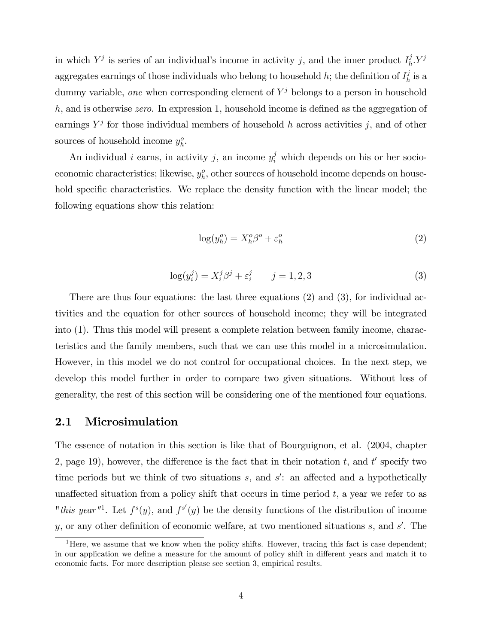in which  $Y^j$  is series of an individual's income in activity j, and the inner product  $I_h^j$  $_{h}^{j}Y^{j}$ aggregates earnings of those individuals who belong to household h; the definition of  $I_h^j$  $\frac{\jmath}{h}$  is a dummy variable, one when corresponding element of  $Y<sup>j</sup>$  belongs to a person in household  $h$ , and is otherwise *zero*. In expression 1, household income is defined as the aggregation of earnings  $Y^j$  for those individual members of household h across activities j, and of other sources of household income  $y_h^o$ .

An individual *i* earns, in activity *j*, an income  $y_i^j$  which depends on his or her socioeconomic characteristics; likewise,  $y_h^o$ , other sources of household income depends on household specific characteristics. We replace the density function with the linear model; the following equations show this relation:

$$
\log(y_h^o) = X_h^o \beta^o + \varepsilon_h^o \tag{2}
$$

$$
\log(y_i^j) = X_i^j \beta^j + \varepsilon_i^j \qquad j = 1, 2, 3 \tag{3}
$$

There are thus four equations: the last three equations (2) and (3), for individual activities and the equation for other sources of household income; they will be integrated into (1). Thus this model will present a complete relation between family income, characteristics and the family members, such that we can use this model in a microsimulation. However, in this model we do not control for occupational choices. In the next step, we develop this model further in order to compare two given situations. Without loss of generality, the rest of this section will be considering one of the mentioned four equations.

### 2.1 Microsimulation

The essence of notation in this section is like that of Bourguignon, et al. (2004, chapter 2, page 19), however, the difference is the fact that in their notation  $t$ , and  $t'$  specify two time periods but we think of two situations  $s$ , and  $s'$ : an affected and a hypothetically unaffected situation from a policy shift that occurs in time period  $t$ , a year we refer to as "this year"<sup>1</sup>. Let  $f^s(y)$ , and  $f^{s'}(y)$  be the density functions of the distribution of income y, or any other definition of economic welfare, at two mentioned situations  $s$ , and  $s'$ . The

<sup>&</sup>lt;sup>1</sup>Here, we assume that we know when the policy shifts. However, tracing this fact is case dependent; in our application we define a measure for the amount of policy shift in different years and match it to economic facts. For more description please see section 3, empirical results.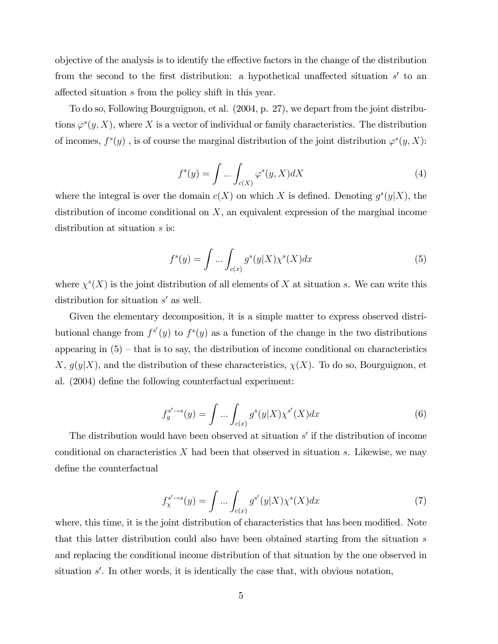objective of the analysis is to identify the effective factors in the change of the distribution from the second to the first distribution: a hypothetical unaffected situation  $s'$  to an affected situation s from the policy shift in this year.

To do so, Following Bourguignon, et al. (2004, p. 27), we depart from the joint distributions  $\varphi^{s}(y, X)$ , where X is a vector of individual or family characteristics. The distribution of incomes,  $f^{s}(y)$ , is of course the marginal distribution of the joint distribution  $\varphi^{s}(y, X)$ :

$$
f^{s}(y) = \int \dots \int_{c(X)} \varphi^{s}(y, X) dX \tag{4}
$$

where the integral is over the domain  $c(X)$  on which X is defined. Denoting  $g^{s}(y|X)$ , the distribution of income conditional on  $X$ , an equivalent expression of the marginal income distribution at situation  $s$  is:

$$
f^{s}(y) = \int \dots \int_{c(x)} g^{s}(y|X)\chi^{s}(X)dx
$$
\n(5)

where  $\chi^{s}(X)$  is the joint distribution of all elements of X at situation s. We can write this distribution for situation  $s'$  as well.

Given the elementary decomposition, it is a simple matter to express observed distributional change from  $f^{s'}(y)$  to  $f^{s}(y)$  as a function of the change in the two distributions appearing in  $(5)$  – that is to say, the distribution of income conditional on characteristics X,  $g(y|X)$ , and the distribution of these characteristics,  $\chi(X)$ . To do so, Bourguignon, et al. (2004) define the following counterfactual experiment:

$$
f_g^{s' \to s}(y) = \int \dots \int_{c(x)} g^s(y|X) \chi^{s'}(X) dx \tag{6}
$$

The distribution would have been observed at situation  $s'$  if the distribution of income conditional on characteristics  $X$  had been that observed in situation s. Likewise, we may define the counterfactual

$$
f_{\chi}^{s' \to s}(y) = \int \dots \int_{c(x)} g^{s'}(y|X)\chi^s(X)dx \tag{7}
$$

where, this time, it is the joint distribution of characteristics that has been modified. Note that this latter distribution could also have been obtained starting from the situation s and replacing the conditional income distribution of that situation by the one observed in situation  $s'$ . In other words, it is identically the case that, with obvious notation,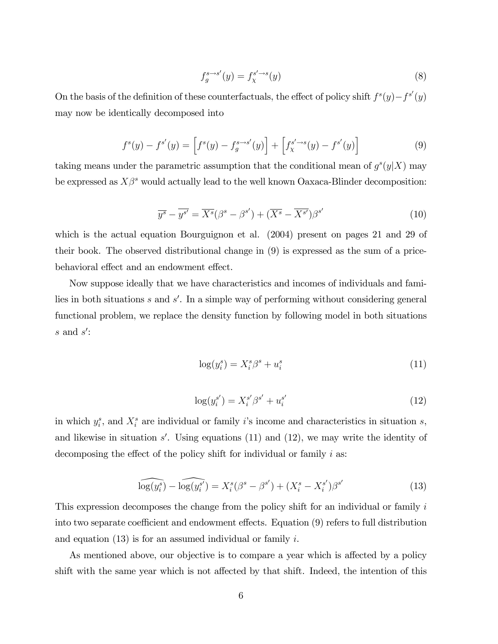$$
f_g^{s \to s'}(y) = f_\chi^{s' \to s}(y) \tag{8}
$$

On the basis of the definition of these counterfactuals, the effect of policy shift  $f^s(y) - f^{s'}(y)$ may now be identically decomposed into

$$
f^{s}(y) - f^{s'}(y) = \left[f^{s}(y) - f^{s \to s'}_{g}(y)\right] + \left[f^{s' \to s}_{\chi}(y) - f^{s'}(y)\right]
$$
(9)

taking means under the parametric assumption that the conditional mean of  $g^{s}(y|X)$  may be expressed as  $X\beta^s$  would actually lead to the well known Oaxaca-Blinder decomposition:

$$
\overline{y^s} - \overline{y^{s'}} = \overline{X^s} (\beta^s - \beta^{s'}) + (\overline{X^s} - \overline{X^{s'}}) \beta^{s'} \tag{10}
$$

which is the actual equation Bourguignon et al. (2004) present on pages 21 and 29 of their book. The observed distributional change in (9) is expressed as the sum of a pricebehavioral effect and an endowment effect.

Now suppose ideally that we have characteristics and incomes of individuals and families in both situations  $s$  and  $s'$ . In a simple way of performing without considering general functional problem, we replace the density function by following model in both situations  $s$  and  $s'$ :

$$
\log(y_i^s) = X_i^s \beta^s + u_i^s \tag{11}
$$

$$
\log(y_i^{s'}) = X_i^{s'} \beta^{s'} + u_i^{s'} \tag{12}
$$

in which  $y_i^s$ , and  $X_i^s$  are individual or family *i*'s income and characteristics in situation *s*, and likewise in situation  $s'$ . Using equations (11) and (12), we may write the identity of decomposing the effect of the policy shift for individual or family  $i$  as:

$$
\widehat{\log(y_i^s)} - \widehat{\log(y_i^{s'})} = X_i^s(\beta^s - \beta^{s'}) + (X_i^s - X_i^{s'})\beta^{s'}
$$
\n(13)

This expression decomposes the change from the policy shift for an individual or family i into two separate coefficient and endowment effects. Equation (9) refers to full distribution and equation  $(13)$  is for an assumed individual or family i.

As mentioned above, our objective is to compare a year which is affected by a policy shift with the same year which is not affected by that shift. Indeed, the intention of this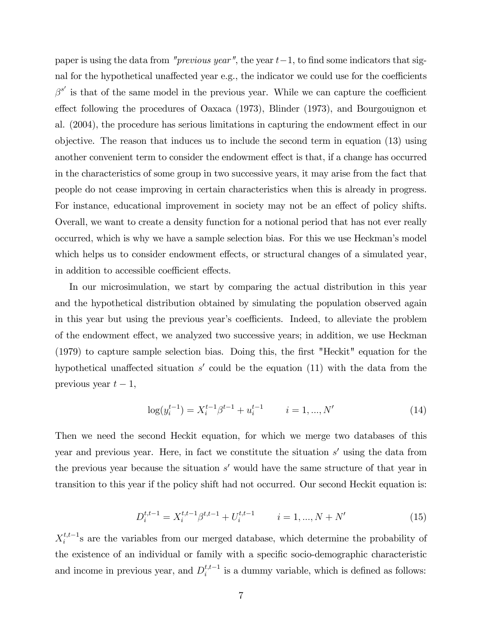paper is using the data from "previous year", the year  $t-1$ , to find some indicators that signal for the hypothetical unaffected year e.g., the indicator we could use for the coefficients  $\beta^{s'}$  is that of the same model in the previous year. While we can capture the coefficient effect following the procedures of Oaxaca  $(1973)$ , Blinder  $(1973)$ , and Bourgouignon et al. (2004), the procedure has serious limitations in capturing the endowment effect in our objective. The reason that induces us to include the second term in equation (13) using another convenient term to consider the endowment effect is that, if a change has occurred in the characteristics of some group in two successive years, it may arise from the fact that people do not cease improving in certain characteristics when this is already in progress. For instance, educational improvement in society may not be an effect of policy shifts. Overall, we want to create a density function for a notional period that has not ever really occurred, which is why we have a sample selection bias. For this we use Heckmanís model which helps us to consider endowment effects, or structural changes of a simulated year, in addition to accessible coefficient effects.

In our microsimulation, we start by comparing the actual distribution in this year and the hypothetical distribution obtained by simulating the population observed again in this year but using the previous year's coefficients. Indeed, to alleviate the problem of the endowment effect, we analyzed two successive years; in addition, we use Heckman (1979) to capture sample selection bias. Doing this, the Örst "Heckit" equation for the hypothetical unaffected situation  $s'$  could be the equation (11) with the data from the previous year  $t - 1$ ,

$$
\log(y_i^{t-1}) = X_i^{t-1}\beta^{t-1} + u_i^{t-1} \qquad i = 1, ..., N'
$$
\n(14)

Then we need the second Heckit equation, for which we merge two databases of this year and previous year. Here, in fact we constitute the situation  $s'$  using the data from the previous year because the situation  $s'$  would have the same structure of that year in transition to this year if the policy shift had not occurred. Our second Heckit equation is:

$$
D_i^{t,t-1} = X_i^{t,t-1} \beta^{t,t-1} + U_i^{t,t-1} \qquad i = 1, ..., N + N'
$$
 (15)

 $X_i^{t,t-1}$  $i_i^{t,t-1}$ s are the variables from our merged database, which determine the probability of the existence of an individual or family with a specific socio-demographic characteristic and income in previous year, and  $D_i^{t,t-1}$  $i_i^{t,t-1}$  is a dummy variable, which is defined as follows: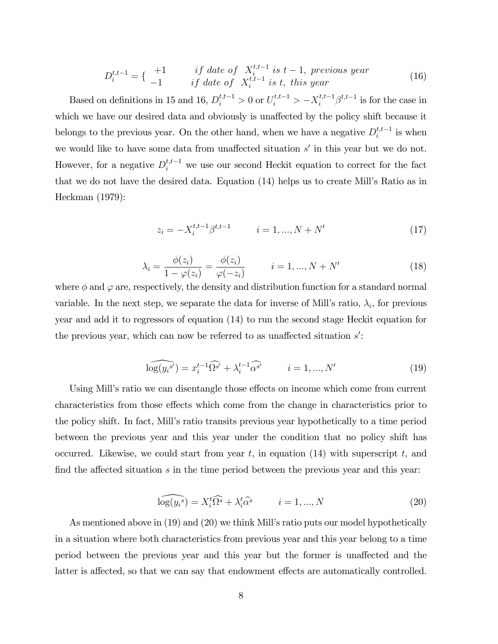$$
D_i^{t,t-1} = \left\{ \begin{array}{c} +1 & \text{if date of } X_i^{t,t-1} \text{ is } t-1, \text{ previous year} \\ -1 & \text{if date of } X_i^{t,t-1} \text{ is } t, \text{ this year} \end{array} \right. \tag{16}
$$

Based on definitions in 15 and 16,  $D_i^{t,t-1} > 0$  or  $U_i^{t,t-1} > -X_i^{t,t-1}\beta^{t,t-1}$  is for the case in which we have our desired data and obviously is unaffected by the policy shift because it belongs to the previous year. On the other hand, when we have a negative  $D_i^{t,t-1}$  $i^{t,t-1}$  is when we would like to have some data from unaffected situation  $s'$  in this year but we do not. However, for a negative  $D_i^{t,t-1}$  we use our second Heckit equation to correct for the fact that we do not have the desired data. Equation (14) helps us to create Mill's Ratio as in Heckman (1979):

$$
z_i = -X_i^{t,t-1} \beta^{t,t-1} \qquad i = 1, ..., N + N'
$$
 (17)

$$
\lambda_i = \frac{\phi(z_i)}{1 - \varphi(z_i)} = \frac{\phi(z_i)}{\varphi(-z_i)} \qquad i = 1, ..., N + N' \qquad (18)
$$

where  $\phi$  and  $\varphi$  are, respectively, the density and distribution function for a standard normal variable. In the next step, we separate the data for inverse of Mill's ratio,  $\lambda_i$ , for previous year and add it to regressors of equation (14) to run the second stage Heckit equation for the previous year, which can now be referred to as unaffected situation  $s'$ :

$$
\widehat{\log(y_i^{s'}}) = x_i^{t-1} \widehat{\Omega^{s'}} + \lambda_i^{t-1} \widehat{\alpha^{s'}} \qquad i = 1, ..., N' \qquad (19)
$$

Using Mill's ratio we can disentangle those effects on income which come from current characteristics from those effects which come from the change in characteristics prior to the policy shift. In fact, Millís ratio transits previous year hypothetically to a time period between the previous year and this year under the condition that no policy shift has occurred. Likewise, we could start from year t, in equation  $(14)$  with superscript t, and find the affected situation  $s$  in the time period between the previous year and this year:

$$
\widehat{\log(y_i^s)} = X_i^t \widehat{\Omega^s} + \lambda_i^t \widehat{\alpha^s} \qquad i = 1, ..., N
$$
\n(20)

As mentioned above in (19) and (20) we think Mill's ratio puts our model hypothetically in a situation where both characteristics from previous year and this year belong to a time period between the previous year and this year but the former is unaffected and the latter is affected, so that we can say that endowment effects are automatically controlled.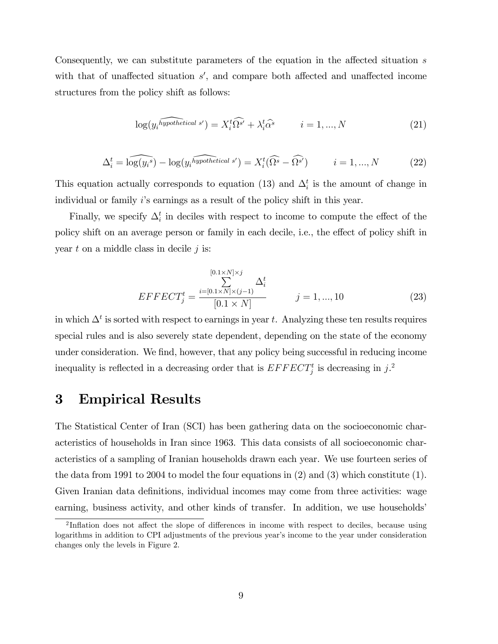Consequently, we can substitute parameters of the equation in the affected situation  $s$ with that of unaffected situation  $s'$ , and compare both affected and unaffected income structures from the policy shift as follows:

$$
\log(y_i \widehat{hypothetical s'}) = X_i^t \widehat{\Omega^{s'}} + \lambda_i^t \widehat{\alpha^s} \qquad i = 1, ..., N
$$
\n(21)

$$
\Delta_i^t = \widehat{\log(y_i^s)} - \log(y_i^{\widehat{hypothetical s'}}) = X_i^t(\widehat{\Omega^s} - \widehat{\Omega^{s'}}) \qquad i = 1, ..., N
$$
 (22)

This equation actually corresponds to equation (13) and  $\Delta_i^t$  is the amount of change in individual or family i's earnings as a result of the policy shift in this year.

Finally, we specify  $\Delta_i^t$  in deciles with respect to income to compute the effect of the policy shift on an average person or family in each decile, i.e., the effect of policy shift in year  $t$  on a middle class in decile  $j$  is:

$$
EFFECT_{j}^{t} = \frac{\sum_{i=[0.1 \times N] \times (j-1)}^{[0.1 \times N] \times (j-1)} \Delta_{i}^{t}}{[0.1 \times N]} \qquad j = 1, ..., 10
$$
 (23)

in which  $\Delta^t$  is sorted with respect to earnings in year t. Analyzing these ten results requires special rules and is also severely state dependent, depending on the state of the economy under consideration. We find, however, that any policy being successful in reducing income inequality is reflected in a decreasing order that is  $EFFECT_{j}^{t}$  is decreasing in j.<sup>2</sup>

### 3 Empirical Results

The Statistical Center of Iran (SCI) has been gathering data on the socioeconomic characteristics of households in Iran since 1963. This data consists of all socioeconomic characteristics of a sampling of Iranian households drawn each year. We use fourteen series of the data from 1991 to 2004 to model the four equations in (2) and (3) which constitute (1). Given Iranian data definitions, individual incomes may come from three activities: wage earning, business activity, and other kinds of transfer. In addition, we use households

<sup>&</sup>lt;sup>2</sup>Inflation does not affect the slope of differences in income with respect to deciles, because using logarithms in addition to CPI adjustments of the previous year's income to the year under consideration changes only the levels in Figure 2.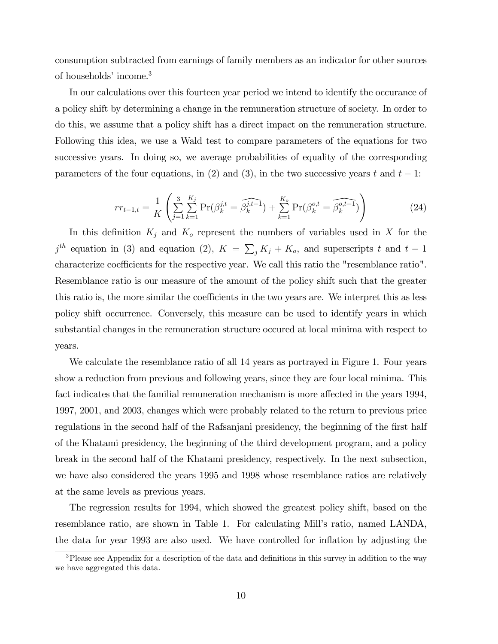consumption subtracted from earnings of family members as an indicator for other sources of households' income.<sup>3</sup>

In our calculations over this fourteen year period we intend to identify the occurance of a policy shift by determining a change in the remuneration structure of society. In order to do this, we assume that a policy shift has a direct impact on the remuneration structure. Following this idea, we use a Wald test to compare parameters of the equations for two successive years. In doing so, we average probabilities of equality of the corresponding parameters of the four equations, in (2) and (3), in the two successive years t and  $t-1$ :

$$
rr_{t-1,t} = \frac{1}{K} \left( \sum_{j=1}^{3} \sum_{k=1}^{K_j} \Pr(\beta_k^{j,t} = \widehat{\beta_k^{j,t-1}}) + \sum_{k=1}^{K_o} \Pr(\beta_k^{o,t} = \widehat{\beta_k^{o,t-1}}) \right)
$$
(24)

In this definition  $K_j$  and  $K_o$  represent the numbers of variables used in X for the  $j^{th}$  equation in (3) and equation (2),  $K = \sum_j K_j + K_o$ , and superscripts t and  $t-1$ characterize coefficients for the respective year. We call this ratio the "resemblance ratio". Resemblance ratio is our measure of the amount of the policy shift such that the greater this ratio is, the more similar the coefficients in the two years are. We interpret this as less policy shift occurrence. Conversely, this measure can be used to identify years in which substantial changes in the remuneration structure occured at local minima with respect to years.

We calculate the resemblance ratio of all 14 years as portrayed in Figure 1. Four years show a reduction from previous and following years, since they are four local minima. This fact indicates that the familial remuneration mechanism is more affected in the years 1994, 1997, 2001, and 2003, changes which were probably related to the return to previous price regulations in the second half of the Rafsanjani presidency, the beginning of the first half of the Khatami presidency, the beginning of the third development program, and a policy break in the second half of the Khatami presidency, respectively. In the next subsection, we have also considered the years 1995 and 1998 whose resemblance ratios are relatively at the same levels as previous years.

The regression results for 1994, which showed the greatest policy shift, based on the resemblance ratio, are shown in Table 1. For calculating Mill's ratio, named LANDA, the data for year 1993 are also used. We have controlled for inflation by adjusting the

 $\overline{\text{3P}}$ lease see Appendix for a description of the data and definitions in this survey in addition to the way we have aggregated this data.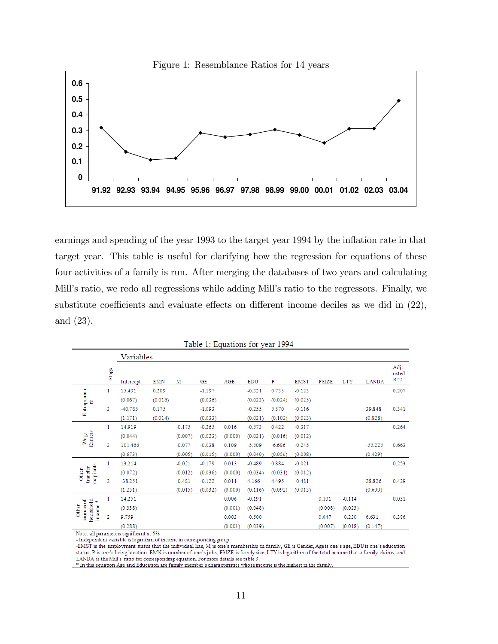

earnings and spending of the year 1993 to the target year 1994 by the inflation rate in that target year. This table is useful for clarifying how the regression for equations of these four activities of a family is run. After merging the databases of two years and calculating Mill's ratio, we redo all regressions while adding Mill's ratio to the regressors. Finally, we substitute coefficients and evaluate effects on different income deciles as we did in  $(22)$ , and (23).

|                                                 |                        | Variables |            |          |          |         |            |          |             |              |            |              |                                |
|-------------------------------------------------|------------------------|-----------|------------|----------|----------|---------|------------|----------|-------------|--------------|------------|--------------|--------------------------------|
|                                                 | $\operatorname{Stage}$ | Intercept | <b>EMN</b> | м        | GE       | AGE     | <b>EDU</b> | P        | <b>EMST</b> | <b>FSIZE</b> | <b>LTY</b> | <b>LANDA</b> | Adj-<br>usted<br>$R^{\wedge}2$ |
| Entrepreneu<br>뚐                                | 1                      | 15.491    | 0.209      |          | $-1.197$ |         | $-0.321$   | 0.735    | $-0.123$    |              |            |              | 0.207                          |
|                                                 |                        | (0.067)   | (0.016)    |          | (0.036)  |         | (0.023)    | (0.024)  | (0.025)     |              |            |              |                                |
|                                                 | 2                      | -40.785   | 0.175      |          | $-1.093$ |         | $-0.255$   | 5.570    | $-0.116$    |              |            | 39.848       | 0.341                          |
|                                                 |                        | (1.171)   | (0.014)    |          | (0.033)  |         | (0.021)    | (0.102)  | (0.023)     |              |            | (0.828)      |                                |
| <b>Earners</b><br>Wage                          | 1                      | 14.919    |            | $-0.175$ | $-0.265$ | 0.016   | $-0.573$   | 0.422    | $-0.317$    |              |            |              | 0.264                          |
|                                                 |                        | (0.044)   |            | (0.007)  | (0.023)  | (0.000) | (0.021)    | (0.016)  | (0.012)     |              |            |              |                                |
|                                                 | $\overline{2}$         | 101.466   |            | $-0.077$ | $-0.038$ | 0.109   | $-5.509$   | $-6.686$ | $-0.245$    |              |            | $-55.225$    | 0.663                          |
|                                                 |                        | (0.673)   |            | (0.005)  | (0.015)  | (0.000) | (0.040)    | (0.056)  | (0.008)     |              |            | (0.429)      |                                |
| recipients<br>transfer<br>Other                 | 1                      | 13.214    |            | $-0.021$ | $-0.179$ | 0.013   | $-0.489$   | 0.884    | $-0.021$    |              |            |              | 0.253                          |
|                                                 |                        | (0.072)   |            | (0.012)  | (0.036)  | (0.000) | (0.034)    | (0.031)  | (0.012)     |              |            |              |                                |
|                                                 | 2                      | $-38.251$ |            | $-0.481$ | $-0.122$ | 0.011   | 4.166      | 4.495    | $-0.481$    |              |            | 28.826       | 0.429                          |
|                                                 |                        | (1.251)   |            | (0.015)  | (0.032)  | (0.000) | (0.116)    | (0.092)  | (0.015)     |              |            | (0.699)      |                                |
| household<br>sources of<br>¥<br>income<br>Other | 1                      | 14.251    |            |          |          | 0.006   | $-0.191$   |          |             | 0.101        | $-0.114$   |              | 0.031                          |
|                                                 |                        | (0.338)   |            |          |          | (0.001) | (0.048)    |          |             | (0.008)      | (0.023)    |              |                                |
|                                                 | 2                      | 9.759     |            |          |          | 0.003   | $-0.500$   |          |             | 0.047        | $-0.230$   | 6.631        | 0.386                          |
|                                                 |                        | (0.288)   |            |          |          | (0.001) | (0.039)    |          |             | (0.007)      | (0.018)    | (0.147)      |                                |

Table 1: Equations for year 1994

Note: all parameters significant at 5%

- Independent variable is logarithm of income in corresponding group

-EMST is the employment status that the individual has, M is one's membership in family, GE is Gender, Age is one's age, EDU is one's education status, P is one's living location, EMN is number of one's jobs, FSIZE is family size, LTY is logarithm of the total income that a family claims, and LANDA is the Mill's ratio for corresponding equation. For more details see table 3.

\* In this equation Age and Education are family member's characteristics whose income is the highest in the family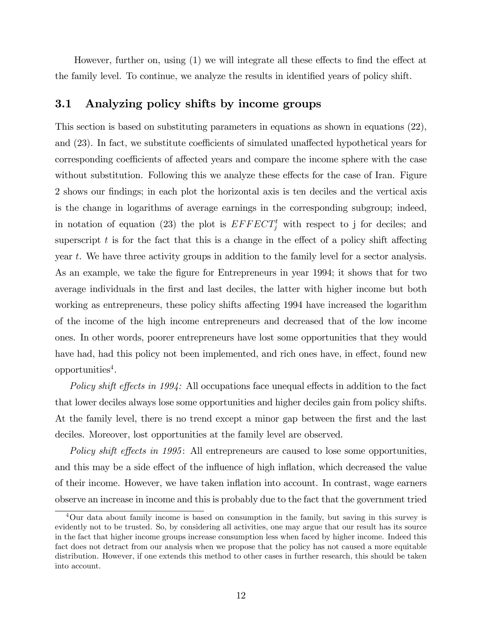However, further on, using  $(1)$  we will integrate all these effects to find the effect at the family level. To continue, we analyze the results in identified years of policy shift.

### 3.1 Analyzing policy shifts by income groups

This section is based on substituting parameters in equations as shown in equations (22), and  $(23)$ . In fact, we substitute coefficients of simulated unaffected hypothetical years for corresponding coefficients of affected years and compare the income sphere with the case without substitution. Following this we analyze these effects for the case of Iran. Figure 2 shows our findings; in each plot the horizontal axis is ten deciles and the vertical axis is the change in logarithms of average earnings in the corresponding subgroup; indeed, in notation of equation (23) the plot is  $EFFECT^t_j$  with respect to j for deciles; and superscript t is for the fact that this is a change in the effect of a policy shift affecting year t. We have three activity groups in addition to the family level for a sector analysis. As an example, we take the figure for Entrepreneurs in year 1994; it shows that for two average individuals in the first and last deciles, the latter with higher income but both working as entrepreneurs, these policy shifts affecting 1994 have increased the logarithm of the income of the high income entrepreneurs and decreased that of the low income ones. In other words, poorer entrepreneurs have lost some opportunities that they would have had, had this policy not been implemented, and rich ones have, in effect, found new  $opportumities<sup>4</sup>$ .

Policy shift effects in 1994: All occupations face unequal effects in addition to the fact that lower deciles always lose some opportunities and higher deciles gain from policy shifts. At the family level, there is no trend except a minor gap between the first and the last deciles. Moreover, lost opportunities at the family level are observed.

Policy shift effects in 1995: All entrepreneurs are caused to lose some opportunities, and this may be a side effect of the influence of high inflation, which decreased the value of their income. However, we have taken ináation into account. In contrast, wage earners observe an increase in income and this is probably due to the fact that the government tried

<sup>4</sup>Our data about family income is based on consumption in the family, but saving in this survey is evidently not to be trusted. So, by considering all activities, one may argue that our result has its source in the fact that higher income groups increase consumption less when faced by higher income. Indeed this fact does not detract from our analysis when we propose that the policy has not caused a more equitable distribution. However, if one extends this method to other cases in further research, this should be taken into account.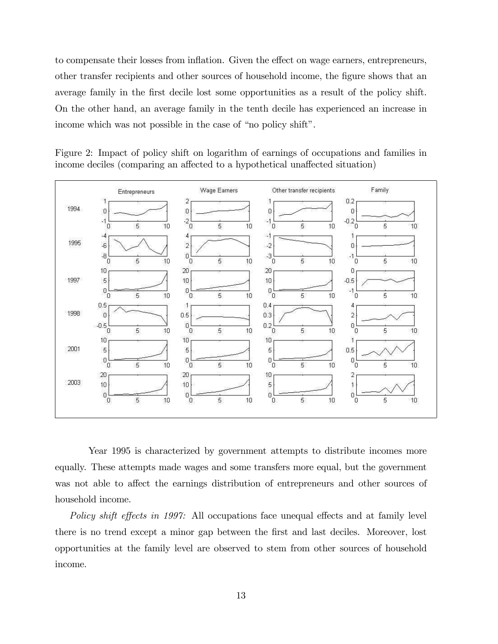to compensate their losses from inflation. Given the effect on wage earners, entrepreneurs, other transfer recipients and other sources of household income, the figure shows that an average family in the first decile lost some opportunities as a result of the policy shift. On the other hand, an average family in the tenth decile has experienced an increase in income which was not possible in the case of "no policy shift".





Year 1995 is characterized by government attempts to distribute incomes more equally. These attempts made wages and some transfers more equal, but the government was not able to affect the earnings distribution of entrepreneurs and other sources of household income.

Policy shift effects in 1997: All occupations face unequal effects and at family level there is no trend except a minor gap between the first and last deciles. Moreover, lost opportunities at the family level are observed to stem from other sources of household income.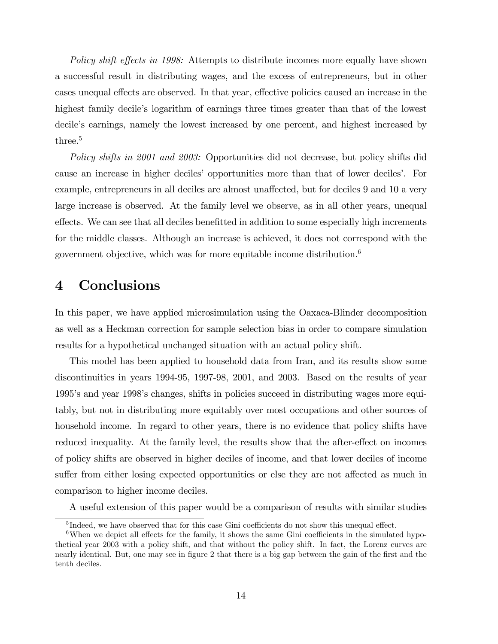Policy shift effects in 1998: Attempts to distribute incomes more equally have shown a successful result in distributing wages, and the excess of entrepreneurs, but in other cases unequal effects are observed. In that year, effective policies caused an increase in the highest family decile's logarithm of earnings three times greater than that of the lowest decile's earnings, namely the lowest increased by one percent, and highest increased by three.<sup>5</sup>

Policy shifts in 2001 and 2003: Opportunities did not decrease, but policy shifts did cause an increase in higher deciles' opportunities more than that of lower deciles'. For example, entrepreneurs in all deciles are almost unaffected, but for deciles 9 and 10 a very large increase is observed. At the family level we observe, as in all other years, unequal effects. We can see that all deciles benefitted in addition to some especially high increments for the middle classes. Although an increase is achieved, it does not correspond with the government objective, which was for more equitable income distribution.<sup>6</sup>

## 4 Conclusions

In this paper, we have applied microsimulation using the Oaxaca-Blinder decomposition as well as a Heckman correction for sample selection bias in order to compare simulation results for a hypothetical unchanged situation with an actual policy shift.

This model has been applied to household data from Iran, and its results show some discontinuities in years 1994-95, 1997-98, 2001, and 2003. Based on the results of year 1995ís and year 1998ís changes, shifts in policies succeed in distributing wages more equitably, but not in distributing more equitably over most occupations and other sources of household income. In regard to other years, there is no evidence that policy shifts have reduced inequality. At the family level, the results show that the after-effect on incomes of policy shifts are observed in higher deciles of income, and that lower deciles of income suffer from either losing expected opportunities or else they are not affected as much in comparison to higher income deciles.

A useful extension of this paper would be a comparison of results with similar studies

 ${}^{5}$ Indeed, we have observed that for this case Gini coefficients do not show this unequal effect.

 $6$ When we depict all effects for the family, it shows the same Gini coefficients in the simulated hypothetical year 2003 with a policy shift, and that without the policy shift. In fact, the Lorenz curves are nearly identical. But, one may see in figure 2 that there is a big gap between the gain of the first and the tenth deciles.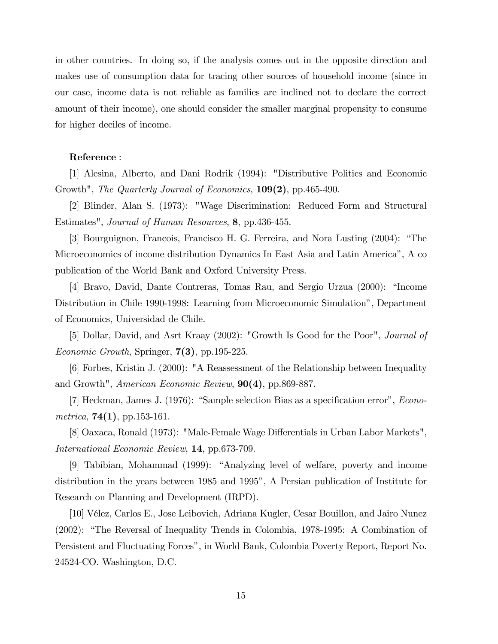in other countries. In doing so, if the analysis comes out in the opposite direction and makes use of consumption data for tracing other sources of household income (since in our case, income data is not reliable as families are inclined not to declare the correct amount of their income), one should consider the smaller marginal propensity to consume for higher deciles of income.

#### Reference :

[1] Alesina, Alberto, and Dani Rodrik (1994): "Distributive Politics and Economic Growth", *The Quarterly Journal of Economics*, **109(2)**, pp.465-490.

[2] Blinder, Alan S. (1973): "Wage Discrimination: Reduced Form and Structural Estimates", Journal of Human Resources, 8, pp.436-455.

[3] Bourguignon, Francois, Francisco H. G. Ferreira, and Nora Lusting (2004): "The Microeconomics of income distribution Dynamics In East Asia and Latin Americaî, A co publication of the World Bank and Oxford University Press.

[4] Bravo, David, Dante Contreras, Tomas Rau, and Sergio Urzua (2000): "Income Distribution in Chile 1990-1998: Learning from Microeconomic Simulationî, Department of Economics, Universidad de Chile.

[5] Dollar, David, and Asrt Kraay (2002): "Growth Is Good for the Poor", Journal of Economic Growth, Springer,  $7(3)$ , pp.195-225.

[6] Forbes, Kristin J. (2000): "A Reassessment of the Relationship between Inequality and Growth", American Economic Review, 90(4), pp.869-887.

[7] Heckman, James J.  $(1976)$ : "Sample selection Bias as a specification error", *Econo*metrica,  $74(1)$ , pp.153-161.

[8] Oaxaca, Ronald (1973): "Male-Female Wage Differentials in Urban Labor Markets", International Economic Review, 14, pp.673-709.

[9] Tabibian, Mohammad (1999): "Analyzing level of welfare, poverty and income distribution in the years between 1985 and 1995", A Persian publication of Institute for Research on Planning and Development (IRPD).

[10] VÈlez, Carlos E., Jose Leibovich, Adriana Kugler, Cesar Bouillon, and Jairo Nunez  $(2002)$ : "The Reversal of Inequality Trends in Colombia, 1978-1995: A Combination of Persistent and Fluctuating Forcesî, in World Bank, Colombia Poverty Report, Report No. 24524-CO. Washington, D.C.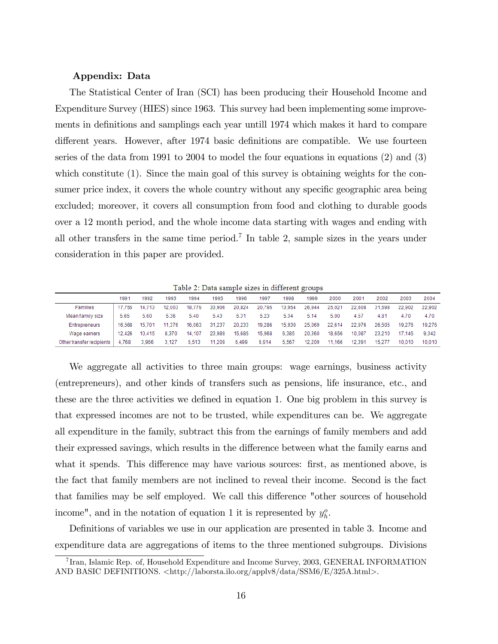#### Appendix: Data

The Statistical Center of Iran (SCI) has been producing their Household Income and Expenditure Survey (HIES) since 1963. This survey had been implementing some improvements in definitions and samplings each year untill 1974 which makes it hard to compare different years. However, after 1974 basic definitions are compatible. We use fourteen series of the data from 1991 to 2004 to model the four equations in equations (2) and (3) which constitute (1). Since the main goal of this survey is obtaining weights for the consumer price index, it covers the whole country without any specific geographic area being excluded; moreover, it covers all consumption from food and clothing to durable goods over a 12 month period, and the whole income data starting with wages and ending with all other transfers in the same time period.<sup>7</sup> In table 2, sample sizes in the years under consideration in this paper are provided.

Table 2: Data sample sizes in different groups

|                           | 1991   | 1992   | 1993   | 1994   | 1995   | 1996   | 1997   | 1998   | 1999   | 2000   | 2001   | 2002   | 2003   | 2004   |
|---------------------------|--------|--------|--------|--------|--------|--------|--------|--------|--------|--------|--------|--------|--------|--------|
| Families                  | 17.755 | 14.713 | 12.003 | 18.779 | 33.906 | 20.824 | 20.795 | 13.954 | 26.944 | 25.021 | 22,608 | 31.598 | 22.902 | 22.902 |
| Mean family size          | 5.65   | 5.60   | 5.36   | 5.40   | 5.43   | 5.31   | 5.23   | 5.34   | 5.14   | 5.00   | 4.57   | 4.81   | 4.70   | 4.70   |
| Entrepreneurs             | 16.568 | 15.701 | 11.376 | 16.063 | 31.237 | 20.233 | 19.286 | 15.930 | 25.069 | 22.614 | 22.976 | 26.505 | 19.276 | 19.276 |
| Wage earners              | 12.426 | 10.415 | 8.370  | 14.107 | 23.989 | 15.685 | 15.968 | 6.385  | 20.360 | 18.656 | 10.087 | 23.210 | 17.145 | 9.342  |
| Other transfer recipients | 4.768  | 3.966  | 3.127  | 5.513  | 11.209 | 6.499  | 6.914  | 5.567  | 12.209 | 11.166 | 12.391 | 15.277 | 10.010 | 10.010 |

We aggregate all activities to three main groups: wage earnings, business activity (entrepreneurs), and other kinds of transfers such as pensions, life insurance, etc., and these are the three activities we defined in equation 1. One big problem in this survey is that expressed incomes are not to be trusted, while expenditures can be. We aggregate all expenditure in the family, subtract this from the earnings of family members and add their expressed savings, which results in the difference between what the family earns and what it spends. This difference may have various sources: first, as mentioned above, is the fact that family members are not inclined to reveal their income. Second is the fact that families may be self employed. We call this difference "other sources of household income", and in the notation of equation 1 it is represented by  $y_h^o$ .

Definitions of variables we use in our application are presented in table 3. Income and expenditure data are aggregations of items to the three mentioned subgroups. Divisions

<sup>&</sup>lt;sup>7</sup> Iran, Islamic Rep. of, Household Expenditure and Income Survey, 2003, GENERAL INFORMATION AND BASIC DEFINITIONS. <http://laborsta.ilo.org/applv8/data/SSM6/E/325A.html>.